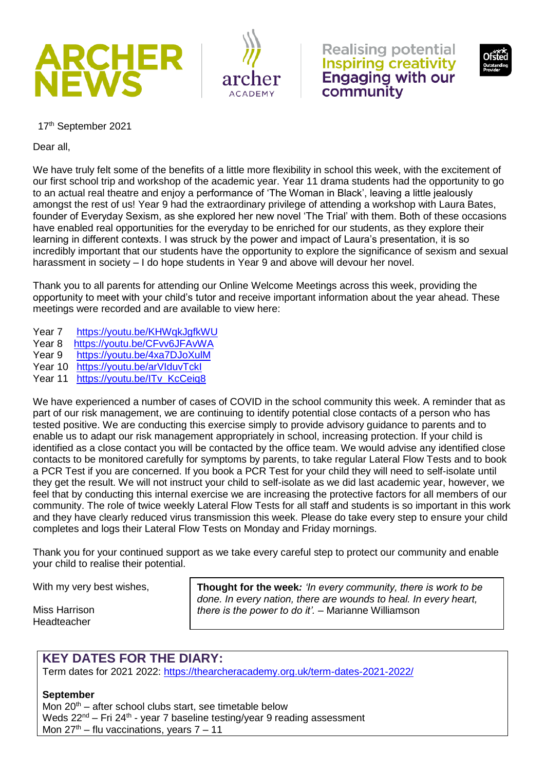







17<sup>th</sup> September 2021

Dear all,

We have truly felt some of the benefits of a little more flexibility in school this week, with the excitement of our first school trip and workshop of the academic year. Year 11 drama students had the opportunity to go to an actual real theatre and enjoy a performance of 'The Woman in Black', leaving a little jealously amongst the rest of us! Year 9 had the extraordinary privilege of attending a workshop with Laura Bates, founder of Everyday Sexism, as she explored her new novel 'The Trial' with them. Both of these occasions have enabled real opportunities for the everyday to be enriched for our students, as they explore their learning in different contexts. I was struck by the power and impact of Laura's presentation, it is so incredibly important that our students have the opportunity to explore the significance of sexism and sexual harassment in society – I do hope students in Year 9 and above will devour her novel.

Thank you to all parents for attending our Online Welcome Meetings across this week, providing the opportunity to meet with your child's tutor and receive important information about the year ahead. These meetings were recorded and are available to view here:

- Year 7 https://youtu.be/KHWqkJqfkWU
- Year 8 <https://youtu.be/CFvv6JFAvWA>
- Year 9 <https://youtu.be/4xa7DJoXulM>
- Year 10 https://voutu.be/arVIduvTckI
- Year 11 https://youtu.be/ITv KcCeig8

We have experienced a number of cases of COVID in the school community this week. A reminder that as part of our risk management, we are continuing to identify potential close contacts of a person who has tested positive. We are conducting this exercise simply to provide advisory guidance to parents and to enable us to adapt our risk management appropriately in school, increasing protection. If your child is identified as a close contact you will be contacted by the office team. We would advise any identified close contacts to be monitored carefully for symptoms by parents, to take regular Lateral Flow Tests and to book a PCR Test if you are concerned. If you book a PCR Test for your child they will need to self-isolate until they get the result. We will not instruct your child to self-isolate as we did last academic year, however, we feel that by conducting this internal exercise we are increasing the protective factors for all members of our community. The role of twice weekly Lateral Flow Tests for all staff and students is so important in this work and they have clearly reduced virus transmission this week. Please do take every step to ensure your child completes and logs their Lateral Flow Tests on Monday and Friday mornings.

Thank you for your continued support as we take every careful step to protect our community and enable your child to realise their potential.

With my very best wishes,

Miss Harrison Headteacher

**Thought for the week***: 'In every community, there is work to be done. In every nation, there are wounds to heal. In every heart, there is the power to do it'.* – Marianne Williamson

### **KEY DATES FOR THE DIARY:**

Term dates for 2021 2022:<https://thearcheracademy.org.uk/term-dates-2021-2022/>

#### **September**

Mon  $20<sup>th</sup>$  – after school clubs start, see timetable below Weds 22<sup>nd</sup> – Fri 24<sup>th</sup> - year 7 baseline testing/year 9 reading assessment Mon  $27<sup>th</sup>$  – flu vaccinations, years  $7 - 11$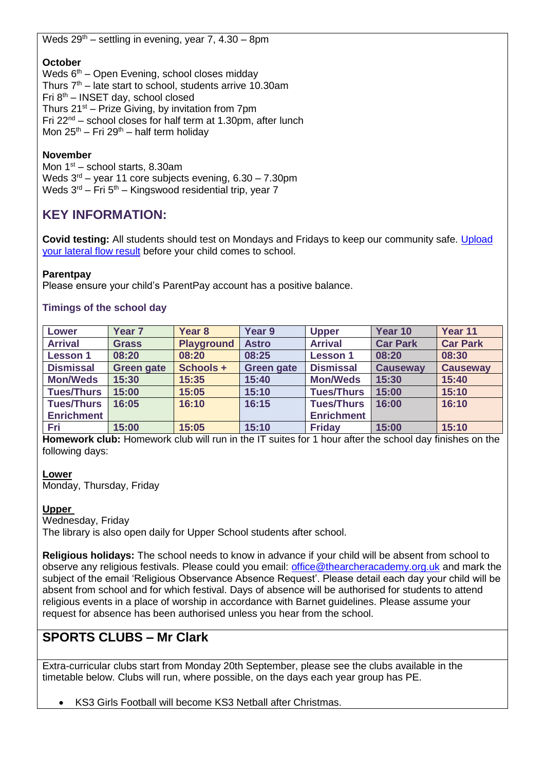Weds  $29<sup>th</sup>$  – settling in evening, year 7, 4.30 – 8pm

### **October**

Weds  $6<sup>th</sup>$  – Open Evening, school closes midday Thurs  $7<sup>th</sup>$  – late start to school, students arrive 10.30am Fri  $8<sup>th</sup>$  – INSET day, school closed Thurs  $21^{st}$  – Prize Giving, by invitation from 7pm Fri  $22<sup>nd</sup>$  – school closes for half term at 1.30pm, after lunch Mon  $25<sup>th</sup>$  – Fri  $29<sup>th</sup>$  – half term holidav

### **November**

Mon  $1<sup>st</sup>$  – school starts, 8.30am Weds  $3<sup>rd</sup>$  – year 11 core subjects evening,  $6.30 - 7.30$ pm Weds  $3^{rd}$  – Fri  $5^{th}$  – Kingswood residential trip, year 7

### **KEY INFORMATION:**

**Covid testing:** All students should test on Mondays and Fridays to keep our community safe. [Upload](https://forms.office.com/r/smZTBhkxXm)  [your lateral flow result](https://forms.office.com/r/smZTBhkxXm) before your child comes to school.

#### **Parentpay**

Please ensure your child's ParentPay account has a positive balance.

### **Timings of the school day**

| Lower             | Year <sub>7</sub> | Year 8            | Year 9            | <b>Upper</b>      | Year 10         | Year 11         |
|-------------------|-------------------|-------------------|-------------------|-------------------|-----------------|-----------------|
| <b>Arrival</b>    | <b>Grass</b>      | <b>Playground</b> | <b>Astro</b>      | <b>Arrival</b>    | <b>Car Park</b> | <b>Car Park</b> |
| <b>Lesson 1</b>   | 08:20             | 08:20             | 08:25             | <b>Lesson 1</b>   | 08:20           | 08:30           |
| <b>Dismissal</b>  | <b>Green gate</b> | Schools +         | <b>Green gate</b> | <b>Dismissal</b>  | <b>Causeway</b> | <b>Causeway</b> |
| <b>Mon/Weds</b>   | 15:30             | 15:35             | 15:40             | <b>Mon/Weds</b>   | 15:30           | 15:40           |
| <b>Tues/Thurs</b> | 15:00             | 15:05             | 15:10             | <b>Tues/Thurs</b> | 15:00           | 15:10           |
| <b>Tues/Thurs</b> | 16:05             | 16:10             | 16:15             | <b>Tues/Thurs</b> | 16:00           | 16:10           |
| <b>Enrichment</b> |                   |                   |                   | <b>Enrichment</b> |                 |                 |
| <b>Fri</b>        | 15:00             | 15:05             | 15:10             | <b>Friday</b>     | 15:00           | 15:10           |

**Homework club:** Homework club will run in the IT suites for 1 hour after the school day finishes on the following days:

### **Lower**

Monday, Thursday, Friday

### **Upper**

Wednesday, Friday

The library is also open daily for Upper School students after school.

**Religious holidays:** The school needs to know in advance if your child will be absent from school to observe any religious festivals. Please could you email: [office@thearcheracademy.org.uk](mailto:office@thearcheracademy.org.uk) and mark the subject of the email 'Religious Observance Absence Request'. Please detail each day your child will be absent from school and for which festival. Days of absence will be authorised for students to attend religious events in a place of worship in accordance with Barnet guidelines. Please assume your request for absence has been authorised unless you hear from the school.

### **SPORTS CLUBS – Mr Clark**

Extra-curricular clubs start from Monday 20th September, please see the clubs available in the timetable below. Clubs will run, where possible, on the days each year group has PE.

• KS3 Girls Football will become KS3 Netball after Christmas.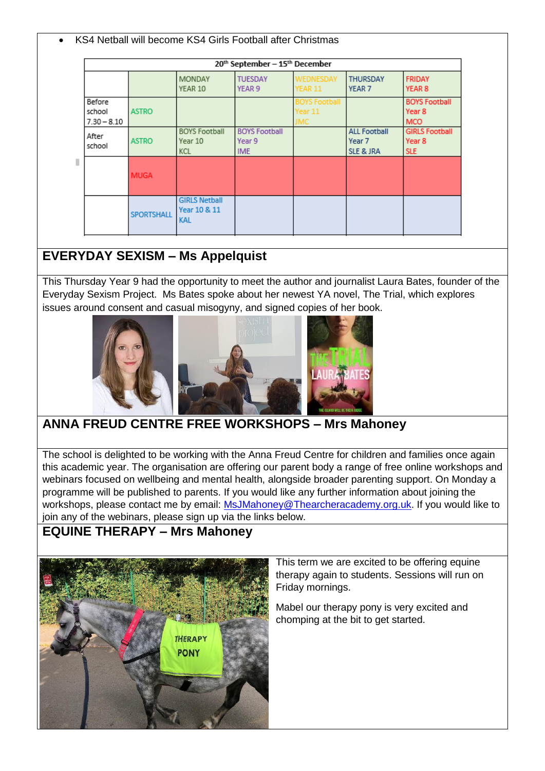| 20 <sup>th</sup> September - 15 <sup>th</sup> December |                   |                                                    |                                              |                                  |                                            |                                               |
|--------------------------------------------------------|-------------------|----------------------------------------------------|----------------------------------------------|----------------------------------|--------------------------------------------|-----------------------------------------------|
|                                                        |                   | <b>MONDAY</b><br>YEAR 10                           | <b>TUESDAY</b><br>YEAR 9                     | WEDNESDAY<br>rear 11             | <b>THURSDAY</b><br>YEAR 7                  | <b>FRIDAY</b><br>YEAR 8                       |
| Before<br>school<br>$7.30 - 8.10$                      | <b>ASTRO</b>      |                                                    |                                              | BOYS Football<br>Year 11<br>JMC. |                                            | <b>BOYS Football</b><br>Year 8<br><b>MCO</b>  |
| After<br>school                                        | <b>ASTRO</b>      | <b>BOYS Football</b><br>Year 10<br>KCL             | <b>BOYS Football</b><br>Year 9<br><b>IME</b> |                                  | <b>ALL Football</b><br>Year 7<br>SLE & JRA | <b>GIRLS Football</b><br>Year 8<br><b>SLE</b> |
|                                                        | <b>MUGA</b>       |                                                    |                                              |                                  |                                            |                                               |
|                                                        | <b>SPORTSHALL</b> | <b>GIRLS Netball</b><br>Year 10 & 11<br><b>KAL</b> |                                              |                                  |                                            |                                               |

# **EVERYDAY SEXISM – Ms Appelquist**

This Thursday Year 9 had the opportunity to meet the author and journalist Laura Bates, founder of the Everyday Sexism Project. Ms Bates spoke about her newest YA novel, The Trial, which explores issues around consent and casual misogyny, and signed copies of her book.



# **ANNA FREUD CENTRE FREE WORKSHOPS – Mrs Mahoney**

The school is delighted to be working with the Anna Freud Centre for children and families once again this academic year. The organisation are offering our parent body a range of free online workshops and webinars focused on wellbeing and mental health, alongside broader parenting support. On Monday a programme will be published to parents. If you would like any further information about joining the workshops, please contact me by email: [MsJMahoney@Thearcheracademy.org.uk.](mailto:MsJMahoney@Thearcheracademy.org.uk) If you would like to join any of the webinars, please sign up via the links below.

## **EQUINE THERAPY – Mrs Mahoney**



This term we are excited to be offering equine therapy again to students. Sessions will run on Friday mornings.

Mabel our therapy pony is very excited and chomping at the bit to get started.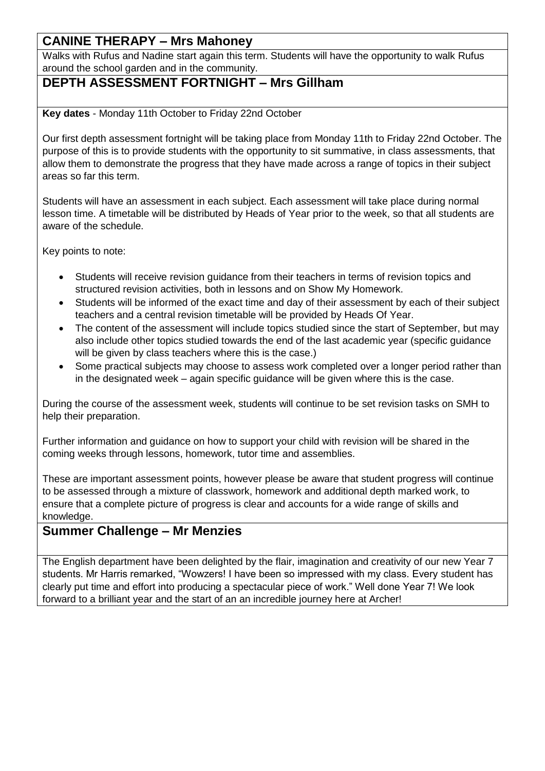### **CANINE THERAPY – Mrs Mahoney**

Walks with Rufus and Nadine start again this term. Students will have the opportunity to walk Rufus around the school garden and in the community.

### **DEPTH ASSESSMENT FORTNIGHT – Mrs Gillham**

**Key dates** - Monday 11th October to Friday 22nd October

Our first depth assessment fortnight will be taking place from Monday 11th to Friday 22nd October. The purpose of this is to provide students with the opportunity to sit summative, in class assessments, that allow them to demonstrate the progress that they have made across a range of topics in their subject areas so far this term.

Students will have an assessment in each subject. Each assessment will take place during normal lesson time. A timetable will be distributed by Heads of Year prior to the week, so that all students are aware of the schedule.

Key points to note:

- Students will receive revision guidance from their teachers in terms of revision topics and structured revision activities, both in lessons and on Show My Homework.
- Students will be informed of the exact time and day of their assessment by each of their subject teachers and a central revision timetable will be provided by Heads Of Year.
- The content of the assessment will include topics studied since the start of September, but may also include other topics studied towards the end of the last academic year (specific guidance will be given by class teachers where this is the case.)
- Some practical subjects may choose to assess work completed over a longer period rather than in the designated week – again specific guidance will be given where this is the case.

During the course of the assessment week, students will continue to be set revision tasks on SMH to help their preparation.

Further information and guidance on how to support your child with revision will be shared in the coming weeks through lessons, homework, tutor time and assemblies.

These are important assessment points, however please be aware that student progress will continue to be assessed through a mixture of classwork, homework and additional depth marked work, to ensure that a complete picture of progress is clear and accounts for a wide range of skills and knowledge.

### **Summer Challenge – Mr Menzies**

The English department have been delighted by the flair, imagination and creativity of our new Year 7 students. Mr Harris remarked, "Wowzers! I have been so impressed with my class. Every student has clearly put time and effort into producing a spectacular piece of work." Well done Year 7! We look forward to a brilliant year and the start of an an incredible journey here at Archer!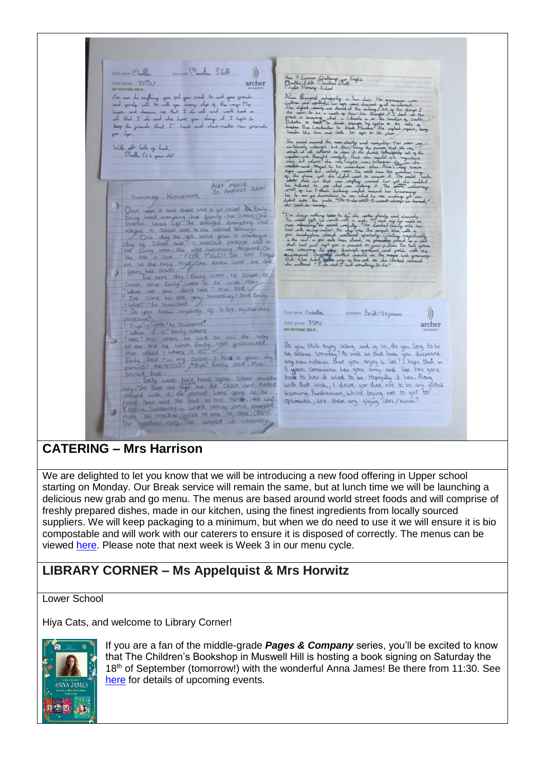Service Planken Stoff FIRE HOTHE COMPLE  $\mathbb{R}$ Kan 7 South Bullion State English Mocanius 1500 archer Moravan de mylling gan pil gar mud to and gar proced.<br>Tour gardy with hi with span seeing slep of the may thy and a<br>layer and decays are likely I do will and work hard in<br>with that I do and also fave gan alway at I hope to  $A = \begin{pmatrix} 0 & 0 & 0 & 0 \\ 0 & 0 & 0 & 0 \\ 0 & 0 & 0 & 0 \\ 0 & 0 & 0 & 0 \\ 0 & 0 & 0 & 0 \\ 0 & 0 & 0 & 0 \\ 0 & 0 & 0 & 0 \\ 0 & 0 & 0 & 0 \\ 0 & 0 & 0 & 0 \\ 0 & 0 & 0 & 0 \\ 0 & 0 & 0 & 0 \\ 0 & 0 & 0 & 0 \\ 0 & 0 & 0 & 0 \\ 0 & 0 & 0 & 0 \\ 0 & 0 & 0 & 0 \\ 0 & 0 & 0 & 0 \\ 0 & 0 & 0 & 0 \\ 0 & 0 & 0$ sor live With the lots of leak ,<br>Redbe (12 years de Alex Moore<br>St Andrews School Summer Homework Once you a sine there was a get rolled its Emily. x The sharp radius that the distribution of the state of the state of the state of the state of the state of the state of the state of the state of the state of the state of the state of the state of the state of the state Unce upon a core that was a gentional manufacture<br>Ensity loved everything the gamby the school street<br>Overall in School and a ske adoned learning. usegue in School and a site adored beams or weakenged<br>Only of School and a mostar param or weakenged<br>It was now she was naturally despited. On<br>It was now she was naturally despited. On<br>It was the strip My She knew was the The next day Emily were to school. At<br>the time the year dairy were to see the Mile.<br>"What are year dairy something," so it Emily<br>"The come to all you, something," so it Emily<br>"What I'll be seeked?"<br>"Outcout".  $\langle \rangle$ The you know arything of a my impossible Firstname ISabella Sumanne Brill-Vegarano Tutor prove 7SMU archer **MY FUTURE SELE** m Do you still enjoy acting and it so, do you long to be<br>on actress someday? As well as that have you discovered<br>any new hotbleus. But you enjoy a lot? I hope that in Mile osted - Where is it!"<br>Finly said - in my closet I hidd it grom my<br>parants? RRINGOD! / Bye" Emily said. Mile<br>smiled hack, wer hock home geter school models uny new normalist noir your signal and life has gone<br>book to have it used to be impossibly it has. Along<br>with that wish, I desire sor there not to be any global<br>barming. Furthermore, whilst brying not to get too<br>optimistic Smiled back.<br>Liey, She took work home ageer achool immedia<br>Liey, She took use the case of close and Fided<br>home soon and the had to oce point. The was<br>from the machine quick no core co bink, DOUS:<br>From the machine quick no Closet and Fiddled u

### **CATERING – Mrs Harrison**

We are delighted to let you know that we will be introducing a new food offering in Upper school starting on Monday. Our Break service will remain the same, but at lunch time we will be launching a delicious new grab and go menu. The menus are based around world street foods and will comprise of freshly prepared dishes, made in our kitchen, using the finest ingredients from locally sourced suppliers. We will keep packaging to a minimum, but when we do need to use it we will ensure it is bio compostable and will work with our caterers to ensure it is disposed of correctly. The menus can be viewed [here.](https://thearcheracademy.org.uk/wp-content/uploads/2021/09/Upper-Site-Lunch-Menu-Autumn-2021.pdf) Please note that next week is Week 3 in our menu cycle.

### **LIBRARY CORNER – Ms Appelquist & Mrs Horwitz**

### Lower School

Hiya Cats, and welcome to Library Corner!



If you are a fan of the middle-grade *Pages & Company* series, you'll be excited to know that The Children's Bookshop in Muswell Hill is hosting a book signing on Saturday the 18th of September (tomorrow!) with the wonderful Anna James! Be there from 11:30. See [here](https://www.childrensbookshoplondon.com/events?utm_campaign=8955dd00-b4d9-4f77-bc78-dd2a6af963a1&utm_source=so&utm_medium=mail&cid=f8f074ef-1f29-49e6-9552-9654b5960300) for details of upcoming events.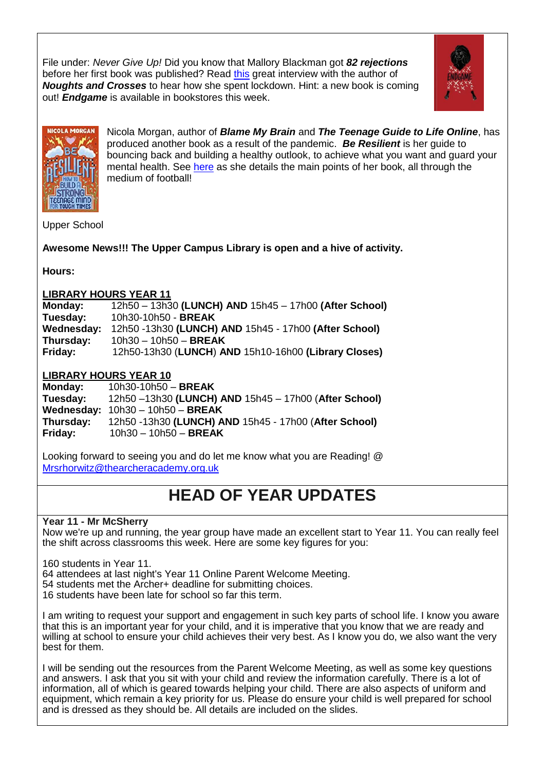File under: *Never Give Up!* Did you know that Mallory Blackman got *82 rejections* before her first book was published? Read [this](https://www.theguardian.com/books/2021/sep/11/malorie-blackman-hope-is-the-spark) great interview with the author of *Noughts and Crosses* to hear how she spent lockdown. Hint: a new book is coming out! *Endgame* is available in bookstores this week.





Nicola Morgan, author of *Blame My Brain* and *The Teenage Guide to Life Online*, has produced another book as a result of the pandemic. *Be Resilient* is her guide to bouncing back and building a healthy outlook, to achieve what you want and guard your mental health. See [here](https://www.youtube.com/watch?v=h46gsLban4k) as she details the main points of her book, all through the medium of football!

Upper School

### **Awesome News!!! The Upper Campus Library is open and a hive of activity.**

**Hours:**

#### **LIBRARY HOURS YEAR 11**

| Monday:    | 12h50 - 13h30 (LUNCH) AND 15h45 - 17h00 (After School) |
|------------|--------------------------------------------------------|
| Tuesday:   | 10h30-10h50 - <b>BREAK</b>                             |
| Wednesday: | 12h50 -13h30 (LUNCH) AND 15h45 - 17h00 (After School)  |
| Thursday:  | $10h30 - 10h50 - BREAK$                                |
| Friday:    | 12h50-13h30 (LUNCH) AND 15h10-16h00 (Library Closes)   |

### **LIBRARY HOURS YEAR 10**

| Monday:   | 10h30-10h50 - BREAK                                   |
|-----------|-------------------------------------------------------|
| Tuesday:  | 12h50-13h30 (LUNCH) AND 15h45-17h00 (After School)    |
|           | Wednesday: $10h30 - 10h50 - BREAK$                    |
| Thursday: | 12h50 -13h30 (LUNCH) AND 15h45 - 17h00 (After School) |
| Friday:   | $10h30 - 10h50 - BREAK$                               |

Looking forward to seeing you and do let me know what you are Reading! @ [Mrsrhorwitz@thearcheracademy.org.uk](mailto:Mrsrhorwitz@thearcheracademy.org.uk)

# **HEAD OF YEAR UPDATES**

#### **Year 11 - Mr McSherry**

Now we're up and running, the year group have made an excellent start to Year 11. You can really feel the shift across classrooms this week. Here are some key figures for you:

160 students in Year 11.

64 attendees at last night's Year 11 Online Parent Welcome Meeting. 54 students met the Archer+ deadline for submitting choices. 16 students have been late for school so far this term.

I am writing to request your support and engagement in such key parts of school life. I know you aware that this is an important year for your child, and it is imperative that you know that we are ready and willing at school to ensure your child achieves their very best. As I know you do, we also want the very best for them.

I will be sending out the resources from the Parent Welcome Meeting, as well as some key questions and answers. I ask that you sit with your child and review the information carefully. There is a lot of information, all of which is geared towards helping your child. There are also aspects of uniform and equipment, which remain a key priority for us. Please do ensure your child is well prepared for school and is dressed as they should be. All details are included on the slides.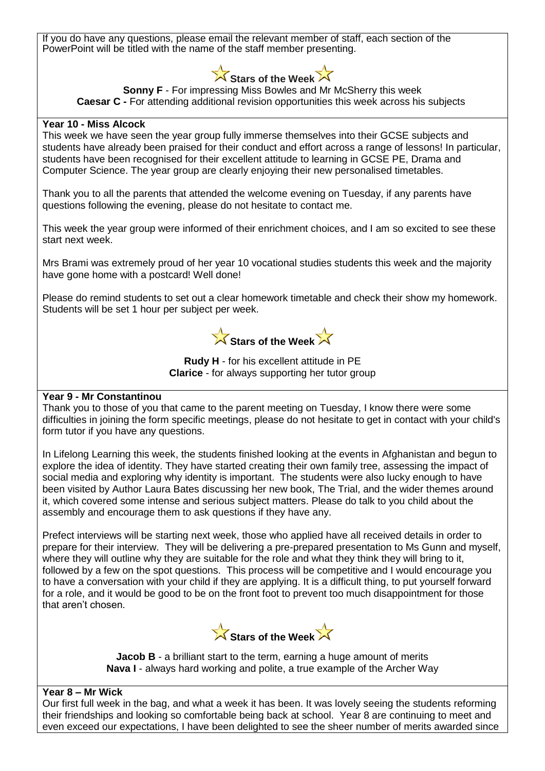If you do have any questions, please email the relevant member of staff, each section of the PowerPoint will be titled with the name of the staff member presenting.



**Sonny F** - For impressing Miss Bowles and Mr McSherry this week

**Caesar C -** For attending additional revision opportunities this week across his subjects

#### **Year 10 - Miss Alcock**

This week we have seen the year group fully immerse themselves into their GCSE subjects and students have already been praised for their conduct and effort across a range of lessons! In particular, students have been recognised for their excellent attitude to learning in GCSE PE. Drama and Computer Science. The year group are clearly enjoying their new personalised timetables.

Thank you to all the parents that attended the welcome evening on Tuesday, if any parents have questions following the evening, please do not hesitate to contact me.

This week the year group were informed of their enrichment choices, and I am so excited to see these start next week.

Mrs Brami was extremely proud of her year 10 vocational studies students this week and the majority have gone home with a postcard! Well done!

Please do remind students to set out a clear homework timetable and check their show my homework. Students will be set 1 hour per subject per week.



**Rudy H** - for his excellent attitude in PE **Clarice** - for always supporting her tutor group

#### **Year 9 - Mr Constantinou**

Thank you to those of you that came to the parent meeting on Tuesday, I know there were some difficulties in joining the form specific meetings, please do not hesitate to get in contact with your child's form tutor if you have any questions.

In Lifelong Learning this week, the students finished looking at the events in Afghanistan and begun to explore the idea of identity. They have started creating their own family tree, assessing the impact of social media and exploring why identity is important. The students were also lucky enough to have been visited by Author Laura Bates discussing her new book, The Trial, and the wider themes around it, which covered some intense and serious subject matters. Please do talk to you child about the assembly and encourage them to ask questions if they have any.

Prefect interviews will be starting next week, those who applied have all received details in order to prepare for their interview. They will be delivering a pre-prepared presentation to Ms Gunn and myself, where they will outline why they are suitable for the role and what they think they will bring to it, followed by a few on the spot questions. This process will be competitive and I would encourage you to have a conversation with your child if they are applying. It is a difficult thing, to put yourself forward for a role, and it would be good to be on the front foot to prevent too much disappointment for those that aren't chosen.



**Jacob B** - a brilliant start to the term, earning a huge amount of merits **Nava I** - always hard working and polite, a true example of the Archer Way

#### **Year 8 – Mr Wick**

Our first full week in the bag, and what a week it has been. It was lovely seeing the students reforming their friendships and looking so comfortable being back at school. Year 8 are continuing to meet and even exceed our expectations, I have been delighted to see the sheer number of merits awarded since